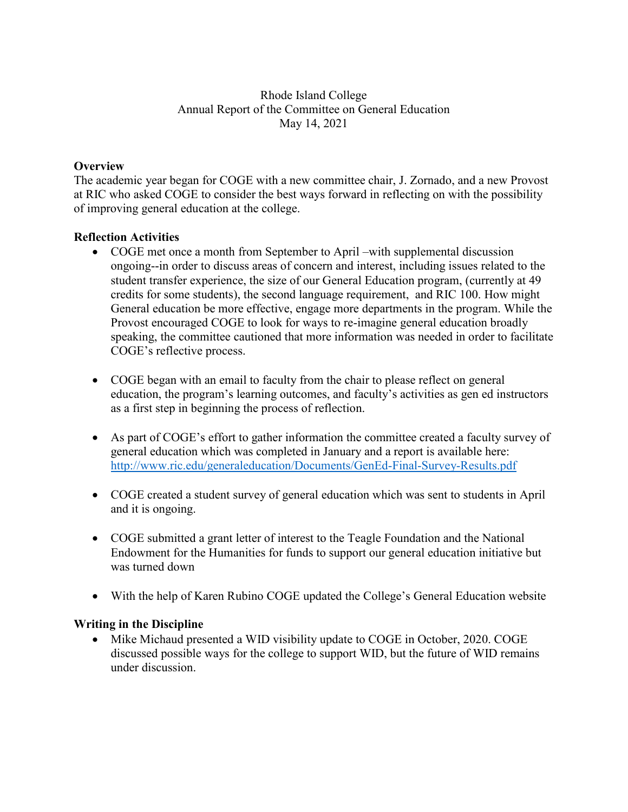# Rhode Island College Annual Report of the Committee on General Education May 14, 2021

# **Overview**

The academic year began for COGE with a new committee chair, J. Zornado, and a new Provost at RIC who asked COGE to consider the best ways forward in reflecting on with the possibility of improving general education at the college.

# **Reflection Activities**

- COGE met once a month from September to April –with supplemental discussion ongoing--in order to discuss areas of concern and interest, including issues related to the student transfer experience, the size of our General Education program, (currently at 49 credits for some students), the second language requirement, and RIC 100. How might General education be more effective, engage more departments in the program. While the Provost encouraged COGE to look for ways to re-imagine general education broadly speaking, the committee cautioned that more information was needed in order to facilitate COGE's reflective process.
- COGE began with an email to faculty from the chair to please reflect on general education, the program's learning outcomes, and faculty's activities as gen ed instructors as a first step in beginning the process of reflection.
- As part of COGE's effort to gather information the committee created a faculty survey of general education which was completed in January and a report is available here: <http://www.ric.edu/generaleducation/Documents/GenEd-Final-Survey-Results.pdf>
- COGE created a student survey of general education which was sent to students in April and it is ongoing.
- COGE submitted a grant letter of interest to the Teagle Foundation and the National Endowment for the Humanities for funds to support our general education initiative but was turned down
- With the help of Karen Rubino COGE updated the College's General Education website

# **Writing in the Discipline**

• Mike Michaud presented a WID visibility update to COGE in October, 2020. COGE discussed possible ways for the college to support WID, but the future of WID remains under discussion.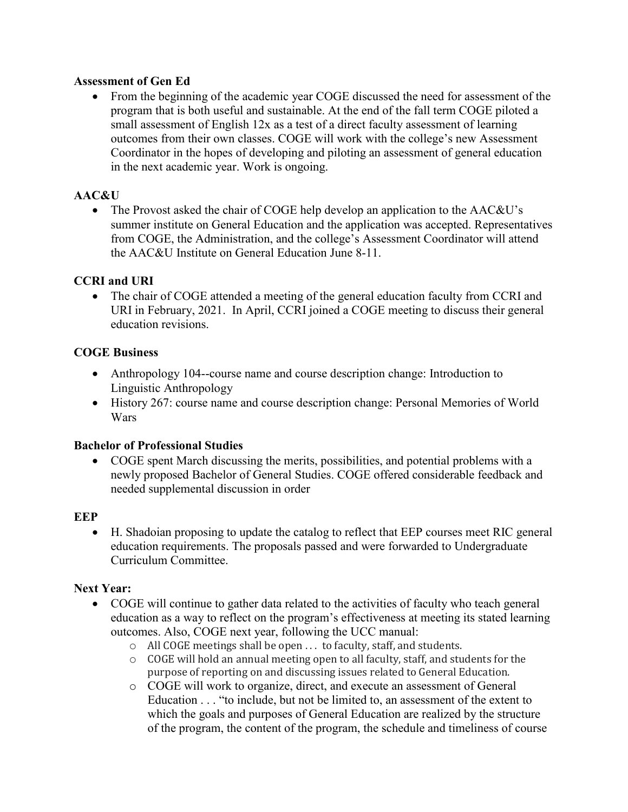### **Assessment of Gen Ed**

• From the beginning of the academic year COGE discussed the need for assessment of the program that is both useful and sustainable. At the end of the fall term COGE piloted a small assessment of English 12x as a test of a direct faculty assessment of learning outcomes from their own classes. COGE will work with the college's new Assessment Coordinator in the hopes of developing and piloting an assessment of general education in the next academic year. Work is ongoing.

# **AAC&U**

• The Provost asked the chair of COGE help develop an application to the AAC&U's summer institute on General Education and the application was accepted. Representatives from COGE, the Administration, and the college's Assessment Coordinator will attend the AAC&U Institute on General Education June 8-11.

# **CCRI and URI**

• The chair of COGE attended a meeting of the general education faculty from CCRI and URI in February, 2021. In April, CCRI joined a COGE meeting to discuss their general education revisions.

#### **COGE Business**

- Anthropology 104--course name and course description change: Introduction to Linguistic Anthropology
- History 267: course name and course description change: Personal Memories of World Wars

#### **Bachelor of Professional Studies**

• COGE spent March discussing the merits, possibilities, and potential problems with a newly proposed Bachelor of General Studies. COGE offered considerable feedback and needed supplemental discussion in order

#### **EEP**

• H. Shadoian proposing to update the catalog to reflect that EEP courses meet RIC general education requirements. The proposals passed and were forwarded to Undergraduate Curriculum Committee.

#### **Next Year:**

- COGE will continue to gather data related to the activities of faculty who teach general education as a way to reflect on the program's effectiveness at meeting its stated learning outcomes. Also, COGE next year, following the UCC manual:
	- o All COGE meetings shall be open . . . to faculty, staff, and students.
	- o COGE will hold an annual meeting open to all faculty, staff, and students for the purpose of reporting on and discussing issues related to General Education.
	- o COGE will work to organize, direct, and execute an assessment of General Education . . . "to include, but not be limited to, an assessment of the extent to which the goals and purposes of General Education are realized by the structure of the program, the content of the program, the schedule and timeliness of course